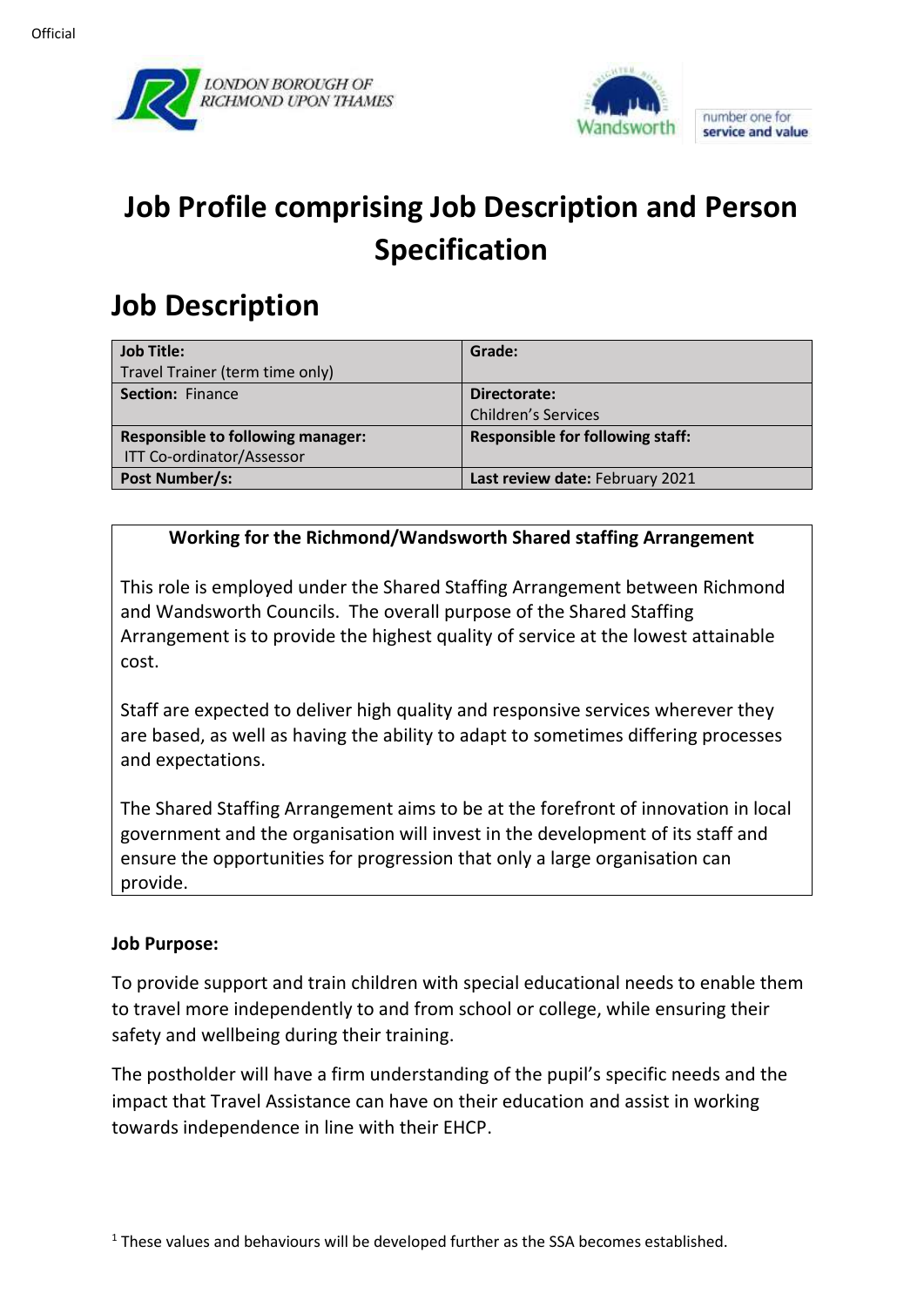



# **Job Profile comprising Job Description and Person Specification**

## **Job Description**

| Job Title:                               | Grade:                                  |
|------------------------------------------|-----------------------------------------|
| Travel Trainer (term time only)          |                                         |
| Section: Finance                         | Directorate:                            |
|                                          | <b>Children's Services</b>              |
| <b>Responsible to following manager:</b> | <b>Responsible for following staff:</b> |
| <b>ITT Co-ordinator/Assessor</b>         |                                         |
| Post Number/s:                           | Last review date: February 2021         |

## **Working for the Richmond/Wandsworth Shared staffing Arrangement**

This role is employed under the Shared Staffing Arrangement between Richmond and Wandsworth Councils. The overall purpose of the Shared Staffing Arrangement is to provide the highest quality of service at the lowest attainable cost.

Staff are expected to deliver high quality and responsive services wherever they are based, as well as having the ability to adapt to sometimes differing processes and expectations.

The Shared Staffing Arrangement aims to be at the forefront of innovation in local government and the organisation will invest in the development of its staff and ensure the opportunities for progression that only a large organisation can provide.

#### **Job Purpose:**

To provide support and train children with special educational needs to enable them to travel more independently to and from school or college, while ensuring their safety and wellbeing during their training.

The postholder will have a firm understanding of the pupil's specific needs and the impact that Travel Assistance can have on their education and assist in working towards independence in line with their EHCP.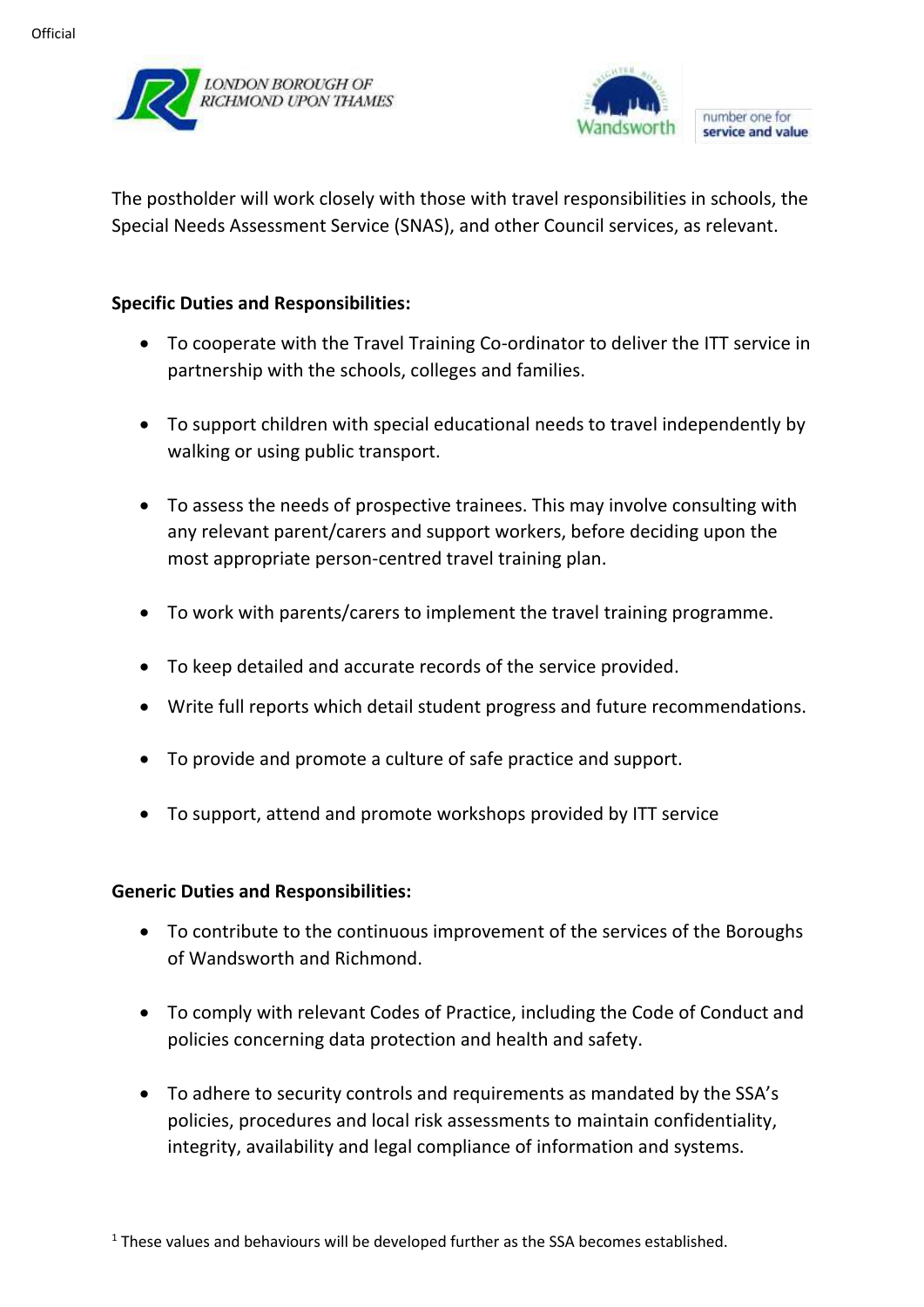



The postholder will work closely with those with travel responsibilities in schools, the Special Needs Assessment Service (SNAS), and other Council services, as relevant.

#### **Specific Duties and Responsibilities:**

- To cooperate with the Travel Training Co-ordinator to deliver the ITT service in partnership with the schools, colleges and families.
- To support children with special educational needs to travel independently by walking or using public transport.
- To assess the needs of prospective trainees. This may involve consulting with any relevant parent/carers and support workers, before deciding upon the most appropriate person-centred travel training plan.
- To work with parents/carers to implement the travel training programme.
- To keep detailed and accurate records of the service provided.
- Write full reports which detail student progress and future recommendations.
- To provide and promote a culture of safe practice and support.
- To support, attend and promote workshops provided by ITT service

#### **Generic Duties and Responsibilities:**

- To contribute to the continuous improvement of the services of the Boroughs of Wandsworth and Richmond.
- To comply with relevant Codes of Practice, including the Code of Conduct and policies concerning data protection and health and safety.
- To adhere to security controls and requirements as mandated by the SSA's policies, procedures and local risk assessments to maintain confidentiality, integrity, availability and legal compliance of information and systems.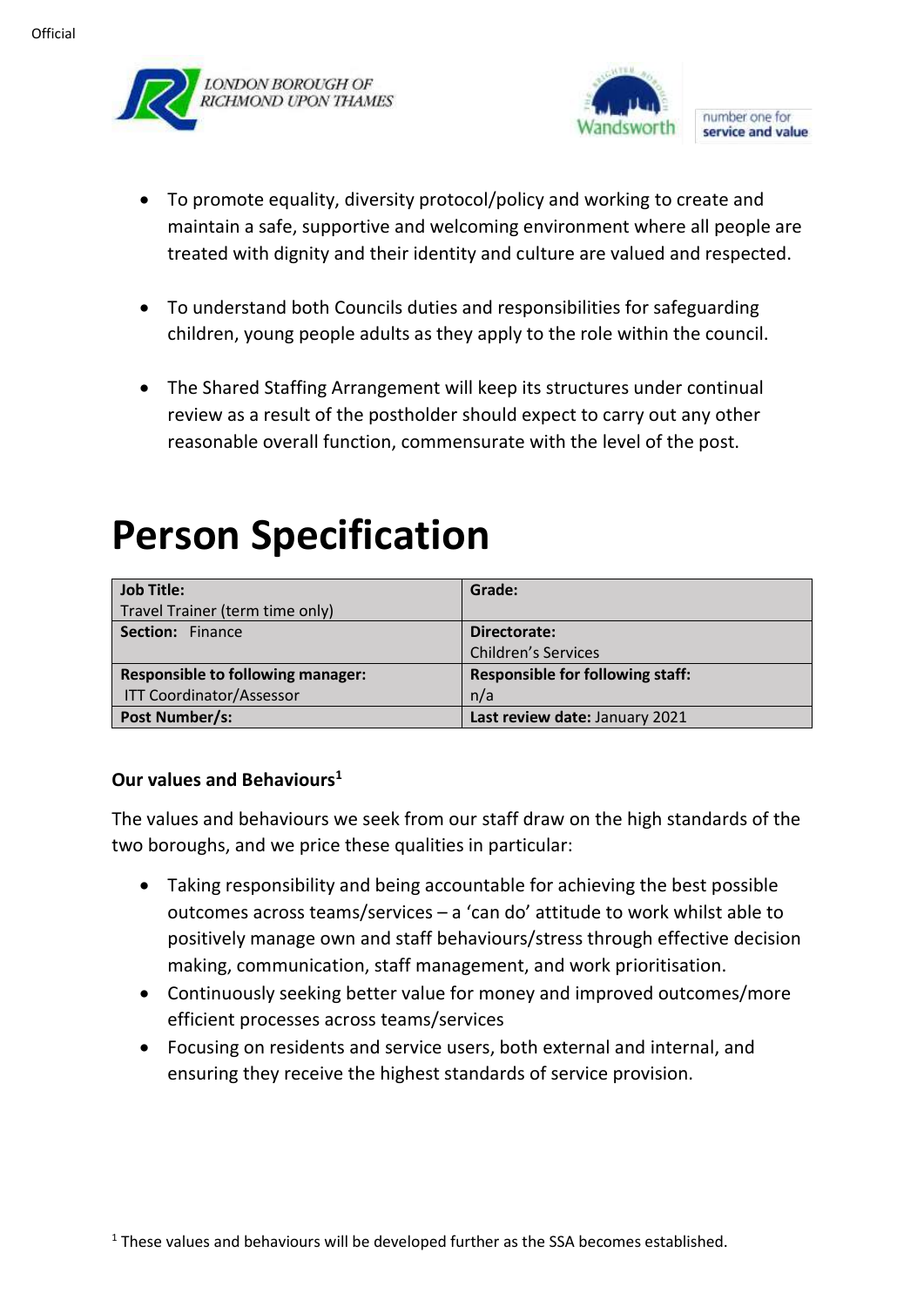



- To promote equality, diversity protocol/policy and working to create and maintain a safe, supportive and welcoming environment where all people are treated with dignity and their identity and culture are valued and respected.
- To understand both Councils duties and responsibilities for safeguarding children, young people adults as they apply to the role within the council.
- The Shared Staffing Arrangement will keep its structures under continual review as a result of the postholder should expect to carry out any other reasonable overall function, commensurate with the level of the post.

# **Person Specification**

| <b>Job Title:</b>                        | Grade:                                  |
|------------------------------------------|-----------------------------------------|
| Travel Trainer (term time only)          |                                         |
| <b>Section: Finance</b>                  | Directorate:                            |
|                                          | <b>Children's Services</b>              |
| <b>Responsible to following manager:</b> | <b>Responsible for following staff:</b> |
| <b>ITT Coordinator/Assessor</b>          | n/a                                     |
| Post Number/s:                           | Last review date: January 2021          |

## **Our values and Behaviours<sup>1</sup>**

The values and behaviours we seek from our staff draw on the high standards of the two boroughs, and we price these qualities in particular:

- Taking responsibility and being accountable for achieving the best possible outcomes across teams/services – a 'can do' attitude to work whilst able to positively manage own and staff behaviours/stress through effective decision making, communication, staff management, and work prioritisation.
- Continuously seeking better value for money and improved outcomes/more efficient processes across teams/services
- Focusing on residents and service users, both external and internal, and ensuring they receive the highest standards of service provision.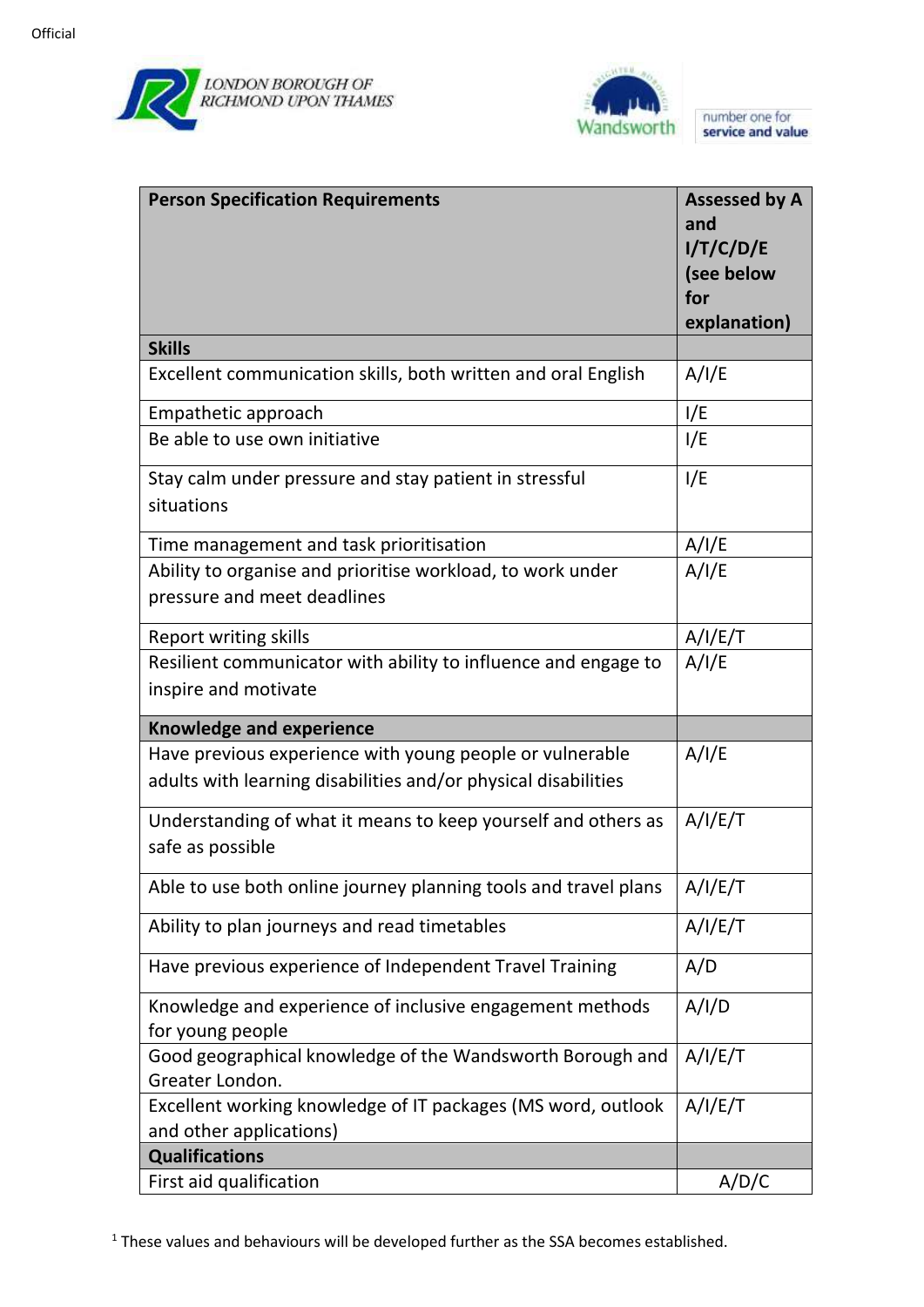



| <b>Person Specification Requirements</b>                        | <b>Assessed by A</b> |
|-----------------------------------------------------------------|----------------------|
|                                                                 | and                  |
|                                                                 | I/T/C/D/E            |
|                                                                 | (see below           |
|                                                                 | for                  |
|                                                                 | explanation)         |
| <b>Skills</b>                                                   |                      |
| Excellent communication skills, both written and oral English   | A/I/E                |
| Empathetic approach                                             | I/E                  |
| Be able to use own initiative                                   | I/E                  |
| Stay calm under pressure and stay patient in stressful          | I/E                  |
| situations                                                      |                      |
| Time management and task prioritisation                         | A/I/E                |
| Ability to organise and prioritise workload, to work under      | A/I/E                |
| pressure and meet deadlines                                     |                      |
| <b>Report writing skills</b>                                    | A/I/E/T              |
| Resilient communicator with ability to influence and engage to  | A/I/E                |
| inspire and motivate                                            |                      |
| <b>Knowledge and experience</b>                                 |                      |
| Have previous experience with young people or vulnerable        | A/I/E                |
| adults with learning disabilities and/or physical disabilities  |                      |
| Understanding of what it means to keep yourself and others as   | A/I/E/T              |
| safe as possible                                                |                      |
| Able to use both online journey planning tools and travel plans | A/I/E/T              |
| Ability to plan journeys and read timetables                    | A/I/E/T              |
| Have previous experience of Independent Travel Training         | A/D                  |
| Knowledge and experience of inclusive engagement methods        | A/I/D                |
| for young people                                                |                      |
| Good geographical knowledge of the Wandsworth Borough and       | A/I/E/T              |
| Greater London.                                                 |                      |
| Excellent working knowledge of IT packages (MS word, outlook    | A/I/E/T              |
| and other applications)                                         |                      |
| <b>Qualifications</b>                                           |                      |
| First aid qualification                                         | A/D/C                |

 $1$  These values and behaviours will be developed further as the SSA becomes established.